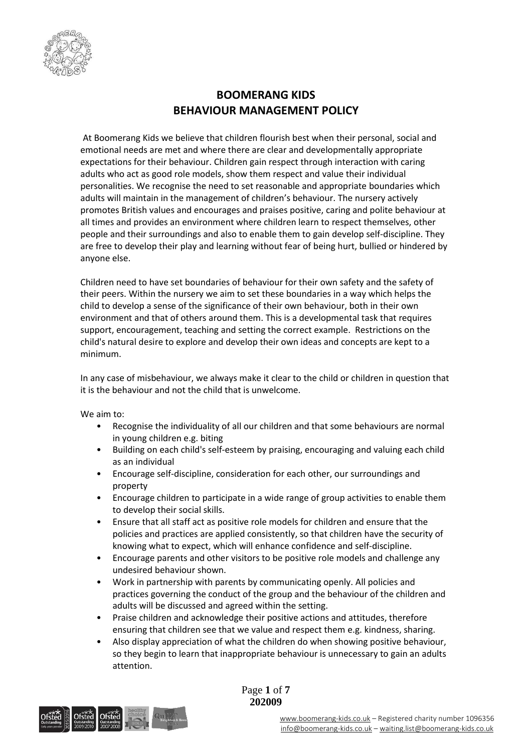

# **BOOMERANG KIDS BEHAVIOUR MANAGEMENT POLICY**

At Boomerang Kids we believe that children flourish best when their personal, social and emotional needs are met and where there are clear and developmentally appropriate expectations for their behaviour. Children gain respect through interaction with caring adults who act as good role models, show them respect and value their individual personalities. We recognise the need to set reasonable and appropriate boundaries which adults will maintain in the management of children's behaviour. The nursery actively promotes British values and encourages and praises positive, caring and polite behaviour at all times and provides an environment where children learn to respect themselves, other people and their surroundings and also to enable them to gain develop self-discipline. They are free to develop their play and learning without fear of being hurt, bullied or hindered by anyone else.

Children need to have set boundaries of behaviour for their own safety and the safety of their peers. Within the nursery we aim to set these boundaries in a way which helps the child to develop a sense of the significance of their own behaviour, both in their own environment and that of others around them. This is a developmental task that requires support, encouragement, teaching and setting the correct example. Restrictions on the child's natural desire to explore and develop their own ideas and concepts are kept to a minimum.

In any case of misbehaviour, we always make it clear to the child or children in question that it is the behaviour and not the child that is unwelcome.

We aim to:

- Recognise the individuality of all our children and that some behaviours are normal in young children e.g. biting
- Building on each child's self-esteem by praising, encouraging and valuing each child as an individual
- Encourage self-discipline, consideration for each other, our surroundings and property
- Encourage children to participate in a wide range of group activities to enable them to develop their social skills.
- Ensure that all staff act as positive role models for children and ensure that the policies and practices are applied consistently, so that children have the security of knowing what to expect, which will enhance confidence and self-discipline.
- Encourage parents and other visitors to be positive role models and challenge any undesired behaviour shown.
- Work in partnership with parents by communicating openly. All policies and practices governing the conduct of the group and the behaviour of the children and adults will be discussed and agreed within the setting.
- Praise children and acknowledge their positive actions and attitudes, therefore ensuring that children see that we value and respect them e.g. kindness, sharing.
- Also display appreciation of what the children do when showing positive behaviour, so they begin to learn that inappropriate behaviour is unnecessary to gain an adults attention.



Page **1** of **7 202009**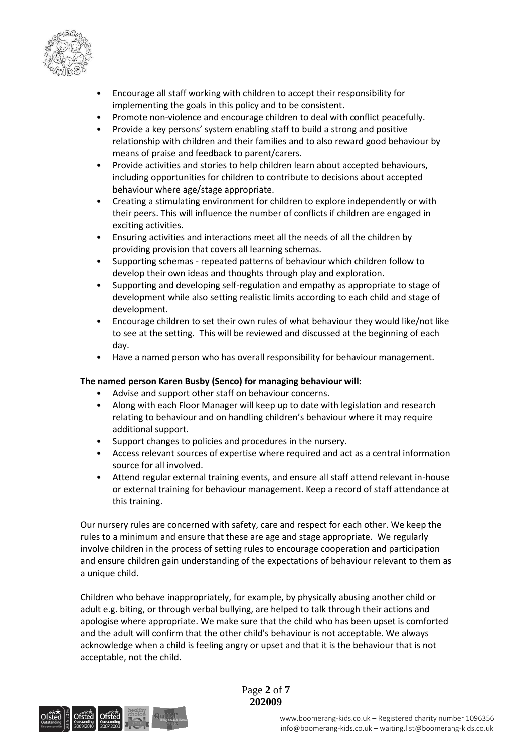

- Encourage all staff working with children to accept their responsibility for implementing the goals in this policy and to be consistent.
- Promote non-violence and encourage children to deal with conflict peacefully.
- Provide a key persons' system enabling staff to build a strong and positive relationship with children and their families and to also reward good behaviour by means of praise and feedback to parent/carers.
- Provide activities and stories to help children learn about accepted behaviours, including opportunities for children to contribute to decisions about accepted behaviour where age/stage appropriate.
- Creating a stimulating environment for children to explore independently or with their peers. This will influence the number of conflicts if children are engaged in exciting activities.
- Ensuring activities and interactions meet all the needs of all the children by providing provision that covers all learning schemas.
- Supporting schemas repeated patterns of behaviour which children follow to develop their own ideas and thoughts through play and exploration.
- Supporting and developing self-regulation and empathy as appropriate to stage of development while also setting realistic limits according to each child and stage of development.
- Encourage children to set their own rules of what behaviour they would like/not like to see at the setting. This will be reviewed and discussed at the beginning of each day.
- Have a named person who has overall responsibility for behaviour management.

## **The named person Karen Busby (Senco) for managing behaviour will:**

- Advise and support other staff on behaviour concerns.
- Along with each Floor Manager will keep up to date with legislation and research relating to behaviour and on handling children's behaviour where it may require additional support.
- Support changes to policies and procedures in the nursery.
- Access relevant sources of expertise where required and act as a central information source for all involved.
- Attend regular external training events, and ensure all staff attend relevant in-house or external training for behaviour management. Keep a record of staff attendance at this training.

Our nursery rules are concerned with safety, care and respect for each other. We keep the rules to a minimum and ensure that these are age and stage appropriate. We regularly involve children in the process of setting rules to encourage cooperation and participation and ensure children gain understanding of the expectations of behaviour relevant to them as a unique child.

Children who behave inappropriately, for example, by physically abusing another child or adult e.g. biting, or through verbal bullying, are helped to talk through their actions and apologise where appropriate. We make sure that the child who has been upset is comforted and the adult will confirm that the other child's behaviour is not acceptable. We always acknowledge when a child is feeling angry or upset and that it is the behaviour that is not acceptable, not the child.



Page **2** of **7 202009**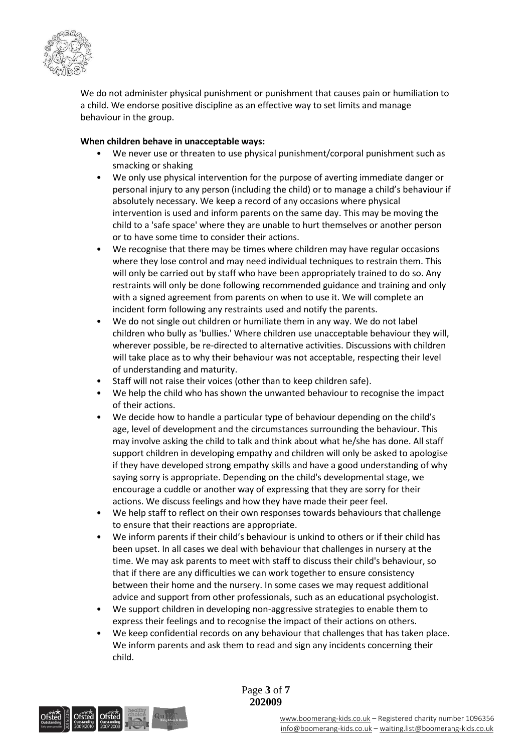

We do not administer physical punishment or punishment that causes pain or humiliation to a child. We endorse positive discipline as an effective way to set limits and manage behaviour in the group.

## **When children behave in unacceptable ways:**

- We never use or threaten to use physical punishment/corporal punishment such as smacking or shaking
- We only use physical intervention for the purpose of averting immediate danger or personal injury to any person (including the child) or to manage a child's behaviour if absolutely necessary. We keep a record of any occasions where physical intervention is used and inform parents on the same day. This may be moving the child to a 'safe space' where they are unable to hurt themselves or another person or to have some time to consider their actions.
- We recognise that there may be times where children may have regular occasions where they lose control and may need individual techniques to restrain them. This will only be carried out by staff who have been appropriately trained to do so. Any restraints will only be done following recommended guidance and training and only with a signed agreement from parents on when to use it. We will complete an incident form following any restraints used and notify the parents.
- We do not single out children or humiliate them in any way. We do not label children who bully as 'bullies.' Where children use unacceptable behaviour they will, wherever possible, be re-directed to alternative activities. Discussions with children will take place as to why their behaviour was not acceptable, respecting their level of understanding and maturity.
- Staff will not raise their voices (other than to keep children safe).
- We help the child who has shown the unwanted behaviour to recognise the impact of their actions.
- We decide how to handle a particular type of behaviour depending on the child's age, level of development and the circumstances surrounding the behaviour. This may involve asking the child to talk and think about what he/she has done. All staff support children in developing empathy and children will only be asked to apologise if they have developed strong empathy skills and have a good understanding of why saying sorry is appropriate. Depending on the child's developmental stage, we encourage a cuddle or another way of expressing that they are sorry for their actions. We discuss feelings and how they have made their peer feel.
- We help staff to reflect on their own responses towards behaviours that challenge to ensure that their reactions are appropriate.
- We inform parents if their child's behaviour is unkind to others or if their child has been upset. In all cases we deal with behaviour that challenges in nursery at the time. We may ask parents to meet with staff to discuss their child's behaviour, so that if there are any difficulties we can work together to ensure consistency between their home and the nursery. In some cases we may request additional advice and support from other professionals, such as an educational psychologist.
- We support children in developing non-aggressive strategies to enable them to express their feelings and to recognise the impact of their actions on others.
- We keep confidential records on any behaviour that challenges that has taken place. We inform parents and ask them to read and sign any incidents concerning their child.



Page **3** of **7 202009**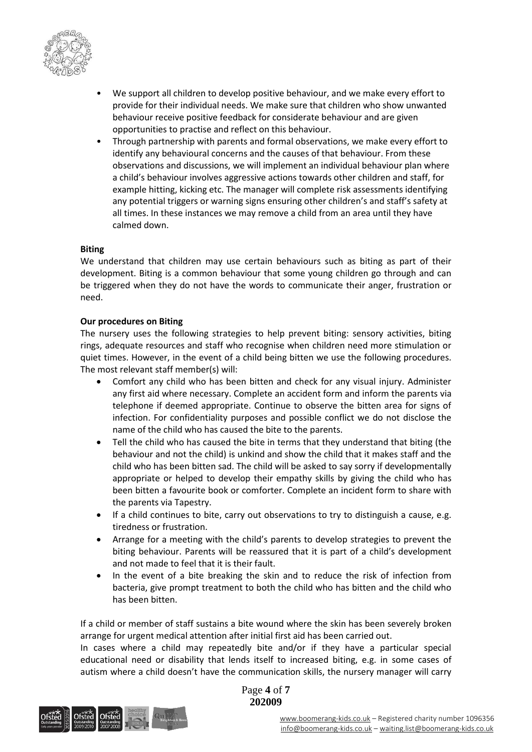

- We support all children to develop positive behaviour, and we make every effort to provide for their individual needs. We make sure that children who show unwanted behaviour receive positive feedback for considerate behaviour and are given opportunities to practise and reflect on this behaviour.
- Through partnership with parents and formal observations, we make every effort to identify any behavioural concerns and the causes of that behaviour. From these observations and discussions, we will implement an individual behaviour plan where a child's behaviour involves aggressive actions towards other children and staff, for example hitting, kicking etc. The manager will complete risk assessments identifying any potential triggers or warning signs ensuring other children's and staff's safety at all times. In these instances we may remove a child from an area until they have calmed down.

### **Biting**

We understand that children may use certain behaviours such as biting as part of their development. Biting is a common behaviour that some young children go through and can be triggered when they do not have the words to communicate their anger, frustration or need.

## **Our procedures on Biting**

The nursery uses the following strategies to help prevent biting: sensory activities, biting rings, adequate resources and staff who recognise when children need more stimulation or quiet times. However, in the event of a child being bitten we use the following procedures. The most relevant staff member(s) will:

- Comfort any child who has been bitten and check for any visual injury. Administer any first aid where necessary. Complete an accident form and inform the parents via telephone if deemed appropriate. Continue to observe the bitten area for signs of infection. For confidentiality purposes and possible conflict we do not disclose the name of the child who has caused the bite to the parents.
- Tell the child who has caused the bite in terms that they understand that biting (the behaviour and not the child) is unkind and show the child that it makes staff and the child who has been bitten sad. The child will be asked to say sorry if developmentally appropriate or helped to develop their empathy skills by giving the child who has been bitten a favourite book or comforter. Complete an incident form to share with the parents via Tapestry.
- If a child continues to bite, carry out observations to try to distinguish a cause, e.g. tiredness or frustration.
- Arrange for a meeting with the child's parents to develop strategies to prevent the biting behaviour. Parents will be reassured that it is part of a child's development and not made to feel that it is their fault.
- In the event of a bite breaking the skin and to reduce the risk of infection from bacteria, give prompt treatment to both the child who has bitten and the child who has been bitten.

If a child or member of staff sustains a bite wound where the skin has been severely broken arrange for urgent medical attention after initial first aid has been carried out.

In cases where a child may repeatedly bite and/or if they have a particular special educational need or disability that lends itself to increased biting, e.g. in some cases of autism where a child doesn't have the communication skills, the nursery manager will carry



Page **4** of **7 202009**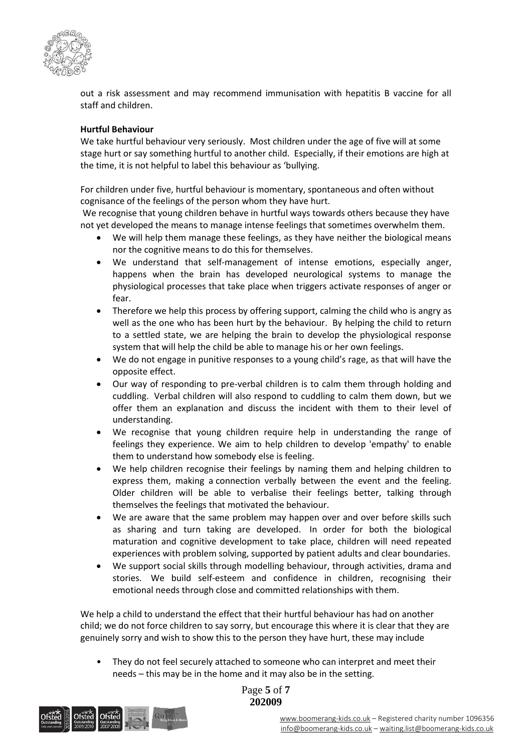

out a risk assessment and may recommend immunisation with hepatitis B vaccine for all staff and children.

## **Hurtful Behaviour**

We take hurtful behaviour very seriously. Most children under the age of five will at some stage hurt or say something hurtful to another child. Especially, if their emotions are high at the time, it is not helpful to label this behaviour as 'bullying.

For children under five, hurtful behaviour is momentary, spontaneous and often without cognisance of the feelings of the person whom they have hurt.

We recognise that young children behave in hurtful ways towards others because they have not yet developed the means to manage intense feelings that sometimes overwhelm them.

- We will help them manage these feelings, as they have neither the biological means nor the cognitive means to do this for themselves.
- We understand that self-management of intense emotions, especially anger, happens when the brain has developed neurological systems to manage the physiological processes that take place when triggers activate responses of anger or fear.
- Therefore we help this process by offering support, calming the child who is angry as well as the one who has been hurt by the behaviour. By helping the child to return to a settled state, we are helping the brain to develop the physiological response system that will help the child be able to manage his or her own feelings.
- We do not engage in punitive responses to a young child's rage, as that will have the opposite effect.
- Our way of responding to pre-verbal children is to calm them through holding and cuddling. Verbal children will also respond to cuddling to calm them down, but we offer them an explanation and discuss the incident with them to their level of understanding.
- We recognise that young children require help in understanding the range of feelings they experience. We aim to help children to develop 'empathy' to enable them to understand how somebody else is feeling.
- We help children recognise their feelings by naming them and helping children to express them, making a connection verbally between the event and the feeling. Older children will be able to verbalise their feelings better, talking through themselves the feelings that motivated the behaviour.
- We are aware that the same problem may happen over and over before skills such as sharing and turn taking are developed. In order for both the biological maturation and cognitive development to take place, children will need repeated experiences with problem solving, supported by patient adults and clear boundaries.
- We support social skills through modelling behaviour, through activities, drama and stories. We build self-esteem and confidence in children, recognising their emotional needs through close and committed relationships with them.

We help a child to understand the effect that their hurtful behaviour has had on another child; we do not force children to say sorry, but encourage this where it is clear that they are genuinely sorry and wish to show this to the person they have hurt, these may include

They do not feel securely attached to someone who can interpret and meet their needs – this may be in the home and it may also be in the setting.



Page **5** of **7 202009**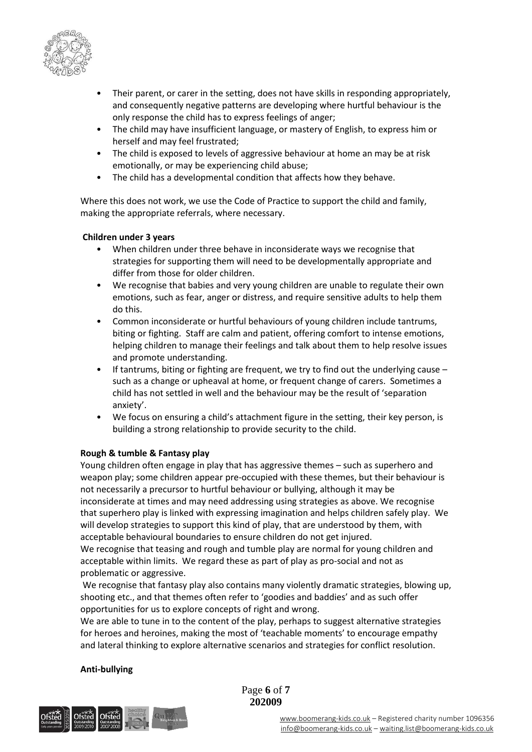

- Their parent, or carer in the setting, does not have skills in responding appropriately, and consequently negative patterns are developing where hurtful behaviour is the only response the child has to express feelings of anger;
- The child may have insufficient language, or mastery of English, to express him or herself and may feel frustrated;
- The child is exposed to levels of aggressive behaviour at home an may be at risk emotionally, or may be experiencing child abuse;
- The child has a developmental condition that affects how they behave.

Where this does not work, we use the Code of Practice to support the child and family, making the appropriate referrals, where necessary.

### **Children under 3 years**

- When children under three behave in inconsiderate ways we recognise that strategies for supporting them will need to be developmentally appropriate and differ from those for older children.
- We recognise that babies and very young children are unable to regulate their own emotions, such as fear, anger or distress, and require sensitive adults to help them do this.
- Common inconsiderate or hurtful behaviours of young children include tantrums, biting or fighting. Staff are calm and patient, offering comfort to intense emotions, helping children to manage their feelings and talk about them to help resolve issues and promote understanding.
- If tantrums, biting or fighting are frequent, we try to find out the underlying cause  $$ such as a change or upheaval at home, or frequent change of carers. Sometimes a child has not settled in well and the behaviour may be the result of 'separation anxiety'.
- We focus on ensuring a child's attachment figure in the setting, their key person, is building a strong relationship to provide security to the child.

## **Rough & tumble & Fantasy play**

Young children often engage in play that has aggressive themes – such as superhero and weapon play; some children appear pre-occupied with these themes, but their behaviour is not necessarily a precursor to hurtful behaviour or bullying, although it may be inconsiderate at times and may need addressing using strategies as above. We recognise that superhero play is linked with expressing imagination and helps children safely play. We will develop strategies to support this kind of play, that are understood by them, with acceptable behavioural boundaries to ensure children do not get injured.

We recognise that teasing and rough and tumble play are normal for young children and acceptable within limits. We regard these as part of play as pro-social and not as problematic or aggressive.

We recognise that fantasy play also contains many violently dramatic strategies, blowing up, shooting etc., and that themes often refer to 'goodies and baddies' and as such offer opportunities for us to explore concepts of right and wrong.

We are able to tune in to the content of the play, perhaps to suggest alternative strategies for heroes and heroines, making the most of 'teachable moments' to encourage empathy and lateral thinking to explore alternative scenarios and strategies for conflict resolution.

### **Anti-bullying**



Page **6** of **7 202009**